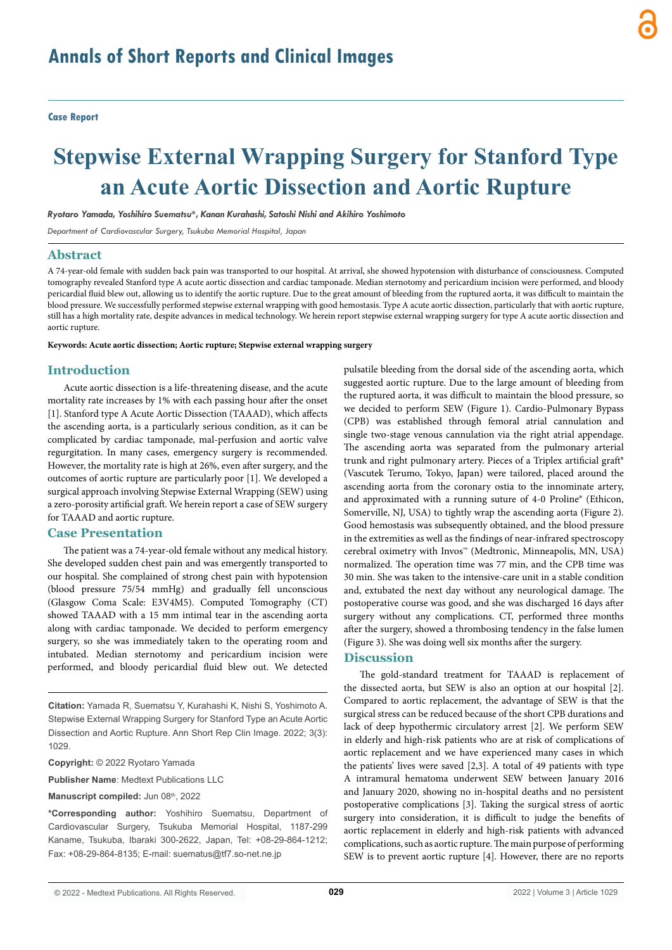**Case Report**

# **Stepwise External Wrapping Surgery for Stanford Type an Acute Aortic Dissection and Aortic Rupture**

*Ryotaro Yamada, Yoshihiro Suematsu\*, Kanan Kurahashi, Satoshi Nishi and Akihiro Yoshimoto*

*Department of Cardiovascular Surgery, Tsukuba Memorial Hospital, Japan*

#### **Abstract**

A 74-year-old female with sudden back pain was transported to our hospital. At arrival, she showed hypotension with disturbance of consciousness. Computed tomography revealed Stanford type A acute aortic dissection and cardiac tamponade. Median sternotomy and pericardium incision were performed, and bloody pericardial fluid blew out, allowing us to identify the aortic rupture. Due to the great amount of bleeding from the ruptured aorta, it was difficult to maintain the blood pressure. We successfully performed stepwise external wrapping with good hemostasis. Type A acute aortic dissection, particularly that with aortic rupture, still has a high mortality rate, despite advances in medical technology. We herein report stepwise external wrapping surgery for type A acute aortic dissection and aortic rupture.

**Keywords: Acute aortic dissection; Aortic rupture; Stepwise external wrapping surgery**

### **Introduction**

Acute aortic dissection is a life-threatening disease, and the acute mortality rate increases by 1% with each passing hour after the onset [1]. Stanford type A Acute Aortic Dissection (TAAAD), which affects the ascending aorta, is a particularly serious condition, as it can be complicated by cardiac tamponade, mal-perfusion and aortic valve regurgitation. In many cases, emergency surgery is recommended. However, the mortality rate is high at 26%, even after surgery, and the outcomes of aortic rupture are particularly poor [1]. We developed a surgical approach involving Stepwise External Wrapping (SEW) using a zero-porosity artificial graft. We herein report a case of SEW surgery for TAAAD and aortic rupture.

#### **Case Presentation**

The patient was a 74-year-old female without any medical history. She developed sudden chest pain and was emergently transported to our hospital. She complained of strong chest pain with hypotension (blood pressure 75/54 mmHg) and gradually fell unconscious (Glasgow Coma Scale: E3V4M5). Computed Tomography (CT) showed TAAAD with a 15 mm intimal tear in the ascending aorta along with cardiac tamponade. We decided to perform emergency surgery, so she was immediately taken to the operating room and intubated. Median sternotomy and pericardium incision were performed, and bloody pericardial fluid blew out. We detected

**Citation:** Yamada R, Suematsu Y, Kurahashi K, Nishi S, Yoshimoto A. Stepwise External Wrapping Surgery for Stanford Type an Acute Aortic Dissection and Aortic Rupture. Ann Short Rep Clin Image. 2022; 3(3): 1029.

**Copyright:** © 2022 Ryotaro Yamada

**Publisher Name**: Medtext Publications LLC

Manuscript compiled: Jun 08th, 2022

**\*Corresponding author:** Yoshihiro Suematsu, Department of Cardiovascular Surgery, Tsukuba Memorial Hospital, 1187-299 Kaname, Tsukuba, Ibaraki 300-2622, Japan, Tel: +08-29-864-1212; Fax: +08-29-864-8135; E-mail: suematus@tf7.so-net.ne.jp

pulsatile bleeding from the dorsal side of the ascending aorta, which suggested aortic rupture. Due to the large amount of bleeding from the ruptured aorta, it was difficult to maintain the blood pressure, so we decided to perform SEW (Figure 1). Cardio-Pulmonary Bypass (CPB) was established through femoral atrial cannulation and single two-stage venous cannulation via the right atrial appendage. The ascending aorta was separated from the pulmonary arterial trunk and right pulmonary artery. Pieces of a Triplex artificial graft® (Vascutek Terumo, Tokyo, Japan) were tailored, placed around the ascending aorta from the coronary ostia to the innominate artery, and approximated with a running suture of 4-0 Proline® (Ethicon, Somerville, NJ, USA) to tightly wrap the ascending aorta (Figure 2). Good hemostasis was subsequently obtained, and the blood pressure in the extremities as well as the findings of near-infrared spectroscopy cerebral oximetry with Invos™ (Medtronic, Minneapolis, MN, USA) normalized. The operation time was 77 min, and the CPB time was 30 min. She was taken to the intensive-care unit in a stable condition and, extubated the next day without any neurological damage. The postoperative course was good, and she was discharged 16 days after surgery without any complications. CT, performed three months after the surgery, showed a thrombosing tendency in the false lumen (Figure 3). She was doing well six months after the surgery.

#### **Discussion**

The gold-standard treatment for TAAAD is replacement of the dissected aorta, but SEW is also an option at our hospital [2]. Compared to aortic replacement, the advantage of SEW is that the surgical stress can be reduced because of the short CPB durations and lack of deep hypothermic circulatory arrest [2]. We perform SEW in elderly and high-risk patients who are at risk of complications of aortic replacement and we have experienced many cases in which the patients' lives were saved [2,3]. A total of 49 patients with type A intramural hematoma underwent SEW between January 2016 and January 2020, showing no in-hospital deaths and no persistent postoperative complications [3]. Taking the surgical stress of aortic surgery into consideration, it is difficult to judge the benefits of aortic replacement in elderly and high-risk patients with advanced complications, such as aortic rupture. The main purpose of performing SEW is to prevent aortic rupture [4]. However, there are no reports